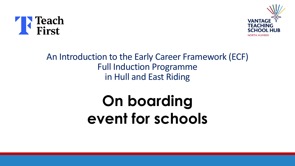



#### An Introduction to the Early Career Framework (ECF) Full Induction Programme in Hull and East Riding

# **On boarding event for schools**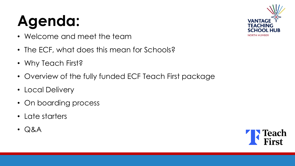# **Agenda:**

- Welcome and meet the team
- The ECF, what does this mean for Schools?
- Why Teach First?
- Overview of the fully funded ECF Teach First package
- Local Delivery
- On boarding process
- Late starters
- Q&A



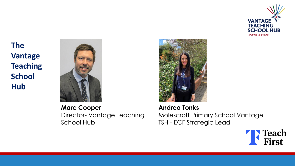

**The Vantage Teaching School Hub**



**Marc Cooper** Director- Vantage Teaching School Hub



**Andrea Tonks** Molescroft Primary School Vantage TSH - ECF Strategic Lead

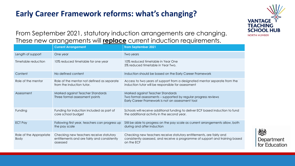#### **Early Career Framework reforms: what's changing?**



From September 2021, statutory induction arrangements are changing. These new arrangements will **replace** current induction requirements.

|                                        | <b>Current Arrangement</b>                                                                          | from September 2021                                                                                                                                                |
|----------------------------------------|-----------------------------------------------------------------------------------------------------|--------------------------------------------------------------------------------------------------------------------------------------------------------------------|
| Length of support                      | One year                                                                                            | Two years                                                                                                                                                          |
| Timetable reduction                    | 10% reduced timetable for one year                                                                  | 10% reduced timetable in Year One<br>5% reduced timetable in Year Two.                                                                                             |
| Content                                | No defined content                                                                                  | Induction should be based on the Early Career Framework                                                                                                            |
| Role of the mentor                     | Role of the mentor not defined as separate<br>from the induction tutor.                             | Access to two years of support from a designated mentor separate from the<br>induction tutor will be responsible for assessment                                    |
| Assessment                             | Marked against Teacher Standards<br>Three formal assessment points                                  | Marked against Teacher Standards<br>Two formal assessments - supported by regular progress reviews<br>Early Career Framework is not an assessment tool             |
| Funding                                | Funding for induction included as part of<br>core school budget                                     | Schools will receive additional funding to deliver ECF based induction to fund<br>the additional activity in the second year.                                      |
| <b>ECT Pay</b>                         | Following first year, teachers can progress up<br>the pay scale                                     | Still be able to progress on the pay scale as current arrangements allow, both<br>during and after induction                                                       |
| Role of the Appropriate<br><b>Body</b> | Checking new teachers receive statutory<br>entitlements and are fairly and consistently<br>assessed | Checking new teachers receive statutory entitlements, are fairly and<br>consistently assessed, and receive a programme of support and training based<br>on the ECF |

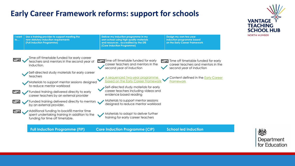#### **Early Career Framework reforms: support for schools**





**VANTAG**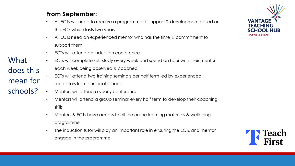#### **From September:**

- All ECTs will need to receive a programme of support & development based on the ECF which lasts two years
- All ECTs need an experienced mentor who has the time & commitment to support them
- ECTs will attend an induction conference
- ECTs will complete self-study every week and spend an hour with their mentor
	- each week being observed & coached
	- ECTs will attend two training seminars per half term led by experienced facilitators from our local schools
	- Mentors will attend a yearly conference
	- Mentors will attend a group seminar every half term to develop their coaching skills
	- Mentors & ECTs have access to all the online learning materials & wellbeing programme
	- The induction tutor will play an important role in ensuring the ECTs and mentor engage in the programme





What does this mean for schools?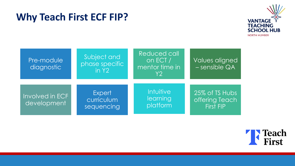#### **Why Teach First ECF FIP?**



| Pre-module<br>diagnostic       | Subject and<br>phase specific<br>in Y2    | Reduced call<br>on ECT /<br>mentor time in<br>Y2 | Values aligned<br>$-$ sensible $QA$                  |
|--------------------------------|-------------------------------------------|--------------------------------------------------|------------------------------------------------------|
| Involved in ECF<br>development | <b>Expert</b><br>curriculum<br>sequencing | Intuitive<br>learning<br>platform                | 25% of TS Hubs<br>offering Teach<br><b>First FIP</b> |

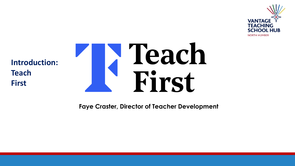

**Introduction: Teach First**



**Faye Craster, Director of Teacher Development**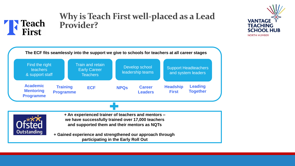



#### **Why is Teach First well-placed as a Lead Provider?**

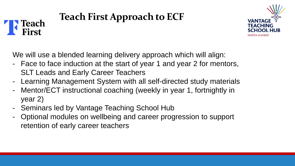#### **Teach First Approach to ECF Teach** First



We will use a blended learning delivery approach which will align:

- Face to face induction at the start of year 1 and year 2 for mentors, SLT Leads and Early Career Teachers
- Learning Management System with all self-directed study materials
- Mentor/ECT instructional coaching (weekly in year 1, fortnightly in year 2)
- Seminars led by Vantage Teaching School Hub
- Optional modules on wellbeing and career progression to support retention of early career teachers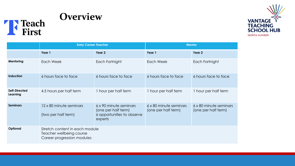



|                           | <b>Early Career Teacher</b>                                                              |                                                                                        | <b>Mentor</b>                                 |                                               |
|---------------------------|------------------------------------------------------------------------------------------|----------------------------------------------------------------------------------------|-----------------------------------------------|-----------------------------------------------|
|                           | Year 1                                                                                   | Year 2                                                                                 | Year 1                                        | Year 2                                        |
| Mentoring                 | Each Week                                                                                | Each Fortnight                                                                         | Each Week                                     | Each Fortnight                                |
| Induction                 | 6 hours face to face                                                                     | 6 hours face to face                                                                   | 6 hours face to face                          | 6 hours face to face                          |
| Self-Directed<br>Learning | 4.5 hours per half term                                                                  | 1 hour per half term                                                                   | 1 hour per half term                          | 1 hour per half term                          |
| <b>Seminars</b>           | 12 x 80 minute seminars<br>(two per half term)                                           | 6 x 90 minute seminars<br>(one per half term)<br>6 opportunities to observe<br>experts | 6 x 80 minute seminars<br>(one per half term) | 6 x 80 minute seminars<br>(one per half term) |
| Optional                  | Stretch content in each module<br>Teacher wellbeing course<br>Career progression modules |                                                                                        |                                               |                                               |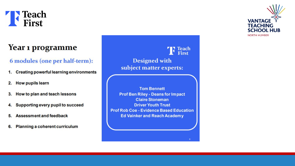

#### Year 1 programme

#### 6 modules (one per half-term):

- **Creating powerful learning environments** 1.
- $2.$ **How pupils learn**
- How to plan and teach lessons 3.
- Supporting every pupil to succeed 4.
- **Assessment and feedback** 5.
- Planning a coherent curriculum 6.

**Teach**<br>First **Designed with** subject matter experts:

**Tom Bennett Prof Ben Riley - Deans for Impact Claire Stoneman Driver Youth Trust Prof Rob Coe - Evidence Based Education Ed Vainker and Reach Academy** 

**VANTAGI TEACHING SCHOOL HUB NORTH HUMBER**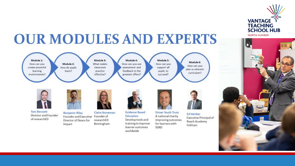

#### **OUR MODULES AND EXPERTS** Module 1: Module 3: Module 4: Module 5: Module 6: Module 2: What makes How can you How can you use How can you How can you How do pupils assessment and create powerful classroom support all plan a coherent learn? pupils to learning practice feedback to the curriculum? effective? greatest effect? succeed? environments? **Tom Bennett Evidence Based Driver Youth Trust Claire Stoneman Benjamin Riley Ed Vainker** Director and Founder Founder of Education A national charity Founder and Executive Executive Principal of of researchED researchED Develop tools and improving outcomes. Director of Deans for Reach Academy training to improve for learners with Birmingham Impact Feltham SEND learner outcomes

worldwide

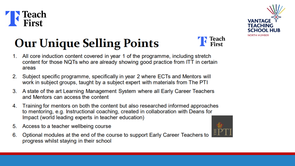



## **Our Unique Selling Points**



- 1. All core induction content covered in year 1 of the programme, including stretch content for those NQTs who are already showing good practice from ITT in certain areas
- Subject specific programme, specifically in year 2 where ECTs and Mentors will 2. work in subject groups, taught by a subject expert with materials from The PTI
- 3. A state of the art Learning Management System where all Early Career Teachers and Mentors can access the content
- Training for mentors on both the content but also researched informed approaches 4. to mentoring, e.g. Instructional coaching, created in collaboration with Deans for Impact (world leading experts in teacher education)
- Access to a teacher wellbeing course 5.
- Optional modules at the end of the course to support Early Career Teachers to 6. progress whilst staying in their school

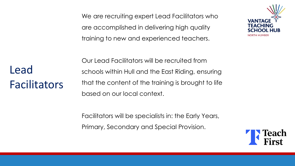We are recruiting expert Lead Facilitators who are accomplished in delivering high quality training to new and experienced teachers.



Lead Facilitators Our Lead Facilitators will be recruited from schools within Hull and the East Riding, ensuring that the content of the training is brought to life based on our local context.

Facilitators will be specialists in: the Early Years, Primary, Secondary and Special Provision.

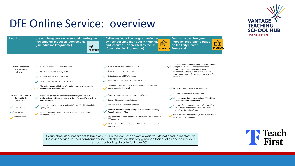### DfE Online Service: overview



If your school does not expect to have any ECTs in the 2021-22 academic year, you do not need to register with the online service. Instead, familiarise yourself with the revised statutory guidance for induction and ensure your school's policy is up to date for future ECTs



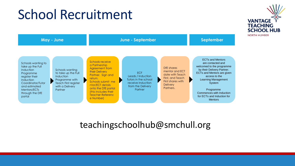## School Recruitment



#### teachingschoolhub@smchull.org

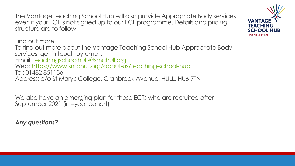The Vantage Teaching School Hub will also provide Appropriate Body services even if your ECT is not signed up to our ECF programme. Details and pricing structure are to follow.

Find out more: To find out more about the Vantage Teaching School Hub Appropriate Body services, get in touch by email. Email: [teachingschoolhub@smchull.org](mailto:teachingschoolhub@smchull.org) Web:<https://www.smchull.org/about-us/teaching-school-hub> Tel: 01482 851136 Address: c/o St Mary's College, Cranbrook Avenue, HULL. HU6 7TN

We also have an emerging plan for those ECTs who are recruited after September 2021 (in –year cohort)

*Any questions?*